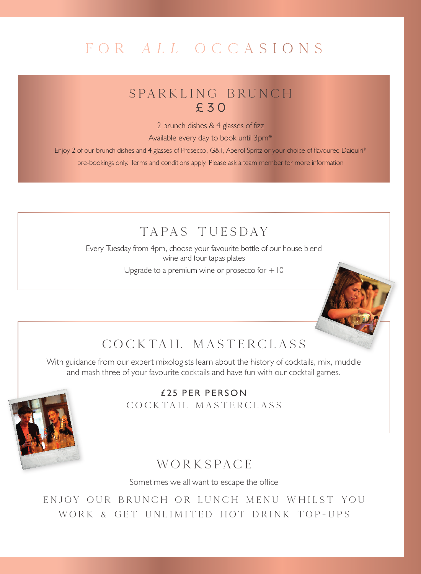## FOR ALL OCCASIONS

## SPARKLING BRUNCH £30

2 brunch dishes & 4 glasses of fizz

Available every day to book until 3pm\*

Enjoy 2 of our brunch dishes and 4 glasses of Prosecco, G&T, Aperol Spritz or your choice of flavoured Daiquiri\* pre-bookings only. Terms and conditions apply. Please ask a team member for more information

## TAPAS TUESDAY

Every Tuesday from 4pm, choose your favourite bottle of our house blend wine and four tapas plates

Upgrade to a premium wine or prosecco for  $+10$ 



## COCKTA IL MASTERCLASS

With guidance from our expert mixologists learn about the history of cocktails, mix, muddle and mash three of your favourite cocktails and have fun with our cocktail games.



 $f$  25 PFR PFRSON COCKTAIL MASTERCLASS

## **WORKSPACE**

Sometimes we all want to escape the office

ENJOY OUR BRUNCH OR LUNCH MENU WHILST YOU WORK & GET UNLIMITED HOT DRINK TOP-UPS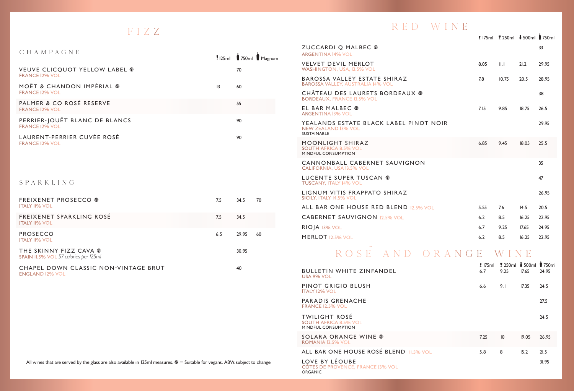## FIZZ

| CHAMPAGNE                                              |                 | 125ml 750ml Magnum |
|--------------------------------------------------------|-----------------|--------------------|
| VEUVE CLICOUOT YELLOW LABEL ®<br><b>FRANCE 12% VOL</b> |                 | 70                 |
| MOËT & CHANDON IMPÉRIAL ®<br><b>FRANCE 12% VOL</b>     | $\overline{13}$ | 60                 |
| PALMER & CO ROSÉ RESERVE<br><b>FRANCE 12% VOL</b>      |                 | 55                 |
| PERRIER-JOUËT BLANC DE BLANCS<br><b>FRANCE I2% VOL</b> |                 | 90                 |
| LAURENT-PERRIER CUVÉE ROSÉ<br><b>FRANCE 12% VOL</b>    |                 | 90                 |

## SPARKLING

| <b>FREIXENET PROSECCO ®</b><br><b>ITALY II% VOL</b>             | 7.5 | 34.5  | 70 |
|-----------------------------------------------------------------|-----|-------|----|
| FREIXENET SPARKLING ROSÉ<br><b>ITALY II% VOL</b>                | 7.5 | 34.5  |    |
| PROSECCO<br><b>ITALY 11% VOL</b>                                | 6.5 | 29.95 | 60 |
| THE SKINNY FIZZ CAVA ®<br>SPAIN II.5% VOL 57 calories per I25ml |     | 30.95 |    |
| CHAPEL DOWN CLASSIC NON-VINTAGE BRUT<br><b>ENGLAND 12% VOL</b>  |     | 40    |    |

## All wines that are served by the glass are also available in 125ml measures.  $\Phi$  = Suitable for vegans. ABVs subject to change

## RED WINE

7 175ml 5 250ml ? 500ml 9 750ml

| ZUCCARDIO MALBEC ®<br><b>ARGENTINA 14% VOL</b>                                             |      |       |       | 33    |
|--------------------------------------------------------------------------------------------|------|-------|-------|-------|
| <b>VELVET DEVIL MERLOT</b><br><b>WASHINGTON, USA, 13.5% VOL</b>                            | 8.05 | II.1  | 21.2  | 29.95 |
| BAROSSA VALLEY ESTATE SHIRAZ<br><b>BAROSSA VALLEY, AUSTRALIA 14% VOL</b>                   | 7.8  | 10.75 | 20.5  | 28.95 |
| CHÂTEAU DES LAURETS BORDEAUX ®<br><b>BORDEAUX, FRANCE I3.5% VOL</b>                        |      |       |       | 38    |
| EL BAR MALBEC ®<br><b>ARGENTINA 13% VOL</b>                                                | 7.15 | 9.85  | 18.75 | 26.5  |
| YEALANDS ESTATE BLACK LABEL PINOT NOIR<br><b>NEW ZEALAND 13% VOL</b><br><b>SUSTAINABLE</b> |      |       |       | 29.95 |
| MOONLIGHT SHIRAZ<br><b>SOUTH AFRICA 8.5% VOL</b><br>MINDFUL CONSUMPTION                    | 6.85 | 9.45  | 18.05 | 25.5  |
| CANNONBALL CABERNET SAUVIGNON<br><b>CALIFORNIA, USA 13.5% VOL</b>                          |      |       |       | 35    |
| <b>LUCENTE SUPER TUSCAN ®</b><br><b>TUSCANY, ITALY 14% VOL</b>                             |      |       |       | 47    |
| LIGNUM VITIS FRAPPATO SHIRAZ<br>SICILY, ITALY 14.5% VOL                                    |      |       |       | 26.95 |
| ALL BAR ONE HOUSE RED BLEND 12.5% VOL                                                      | 5.55 | 7.6   | 14.5  | 20.5  |
| <b>CABERNET SAUVIGNON 12.5% VOL</b>                                                        | 6.2  | 8.5   | 16.25 | 22.95 |
| RIOIA 13% VOL                                                                              | 6.7  | 9.25  | 17.65 | 24.95 |
| <b>MERLOT</b> 12.5% VOL                                                                    | 6.2  | 8.5   | 16.25 | 22.95 |
|                                                                                            |      |       |       |       |

# ROSE AND ORANGE WINE

|                                                                              |      | <b>175ml</b> 7250ml 500ml 750ml |       |       |
|------------------------------------------------------------------------------|------|---------------------------------|-------|-------|
| <b>BULLETIN WHITE ZINFANDEL</b><br>USA 9% VOL                                | 6.7  | 9.25                            | 17.65 | 24.95 |
| PINOT GRIGIO BLUSH<br><b>ITALY 12% VOL</b>                                   | 6.6  | 9.1                             | 17.35 | 24.5  |
| PARADIS GRENACHE<br><b>FRANCE 12.5% VOL</b>                                  |      |                                 |       | 27.5  |
| <b>TWILIGHT ROSÉ</b><br><b>SOUTH AFRICA 8.5% VOL</b><br>MINDFUL CONSUMPTION  |      |                                 |       | 24.5  |
| SOLARA ORANGE WINE ®<br>ROMANIA 12.5% VOL                                    | 7.25 | 10                              | 19.05 | 26.95 |
| ALL BAR ONE HOUSE ROSÉ BLEND 11.5% VOL                                       | 5.8  | 8                               | 15.2  | 21.5  |
| LOVE BY LÉOUBE<br><b>CÖTES DE PROVENCE, FRANCE 13% VOL</b><br><b>ORGANIC</b> |      |                                 |       | 31.95 |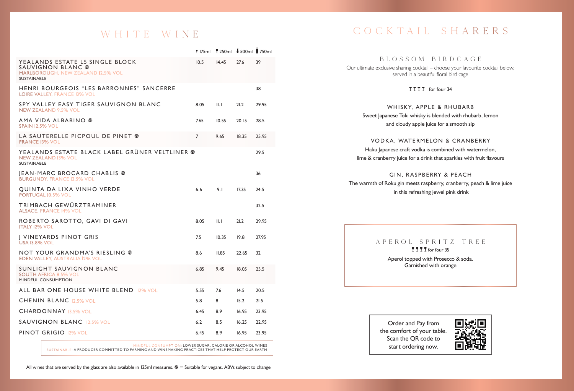## WHITE WINE

| <b>1</b> 175 ml                                |       |       |                     |
|------------------------------------------------|-------|-------|---------------------|
| 10.5                                           | 14.45 | 27.6  | 39                  |
|                                                |       |       | 38                  |
| 8.05                                           | II.1  | 21.2  | 29.95               |
| 7.65                                           | 10.55 | 20.15 | 28.5                |
| $\overline{7}$                                 | 9.65  | 18.35 | 25.95               |
| YEALANDS ESTATE BLACK LABEL GRÜNER VELTLINER @ |       |       | 29.5                |
|                                                |       |       | 36                  |
| 6.6                                            | 9.1   | 17.35 | 24.5                |
|                                                |       |       | 32.5                |
| 8.05                                           | II.1  | 21.2  | 29.95               |
| 7.5                                            | 10.35 | 19.8  | 27.95               |
| 8.6                                            | II.85 | 22.65 | 32                  |
| 6.85                                           | 9.45  | 18.05 | 25.5                |
| 5.55                                           | 7.6   | 14.5  | 20.5                |
| 5.8                                            | 8     | 15.2  | 21.5                |
| 6.45                                           | 8.9   | 16.95 | 23.95               |
| 6.2                                            | 8.5   | 16.25 | 22.95               |
| 6.45                                           | 8.9   | 16.95 | 23.95               |
|                                                |       |       | 1250ml 1500ml 750ml |

MINDFUL CONSUMPTION: LOWER SUGAR, CALORIE OR ALCOHOL WINES

SUSTAINABLE: A PRODUCER COMMITTED TO FARMING AND WINEMAKING PR ACTICES THAT HELP PROTECT OUR EARTH

All wines that are served by the glass are also available in 125ml measures.  $\Phi$  = Suitable for vegans. ABVs subject to change

## COCKTA IL SHARERS

### BLOSSOM BIRDCAGE

Our ultimate exclusive sharing cocktail – choose your favourite cocktail below, served in a beautiful floral bird cage

TTTT for four 34

## WHISKY, APPLE & RHUBARB Sweet Japanese Toki whisky is blended with rhubarb, lemon and cloudy apple juice for a smooth sip

### VODKA, WATERMELON & CRANBERRY

Haku Japanese craft vodka is combined with watermelon, lime & cranberry juice for a drink that sparkles with fruit flavours

### GIN, RASPBERRY & PEACH

The warmth of Roku gin meets raspberry, cranberry, peach & lime juice in this refreshing jewel pink drink

## APEROL SPRITZ TREE 5 5 5 5 for four 35

Aperol topped with Prosecco & soda. Garnished with orange

Order and Pay from the comfort of your table. Scan the QR code to start ordering now.

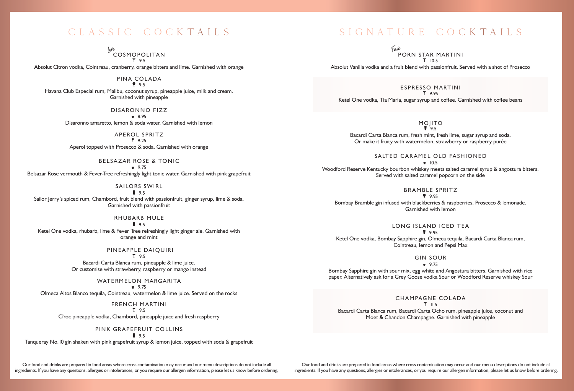Lule<br>COSMOPOLITAN **7.95** 

Absolut Citron vodka, Cointreau, cranberry, orange bitters and lime. Garnished with orange

PINA COLADA  $9.5$ 

Havana Club Especial rum, Malibu, coconut syrup, pineapple juice, milk and cream. Garnished with pineapple

> DISARONNO FIZZ  $-8.95$ Disaronno amaretto, lemon & soda water. Garnished with lemon

APEROL SPRITZ 5 9.25

Aperol topped with Prosecco & soda. Garnished with orange

BELSAZAR ROSE & TONIC  $9.75$ Belsazar Rose vermouth & Fever-Tree refreshingly light tonic water. Garnished with pink grapefruit

SAILORS SWIRL  $9.5$ Sailor Jerry's spiced rum, Chambord, fruit blend with passionfruit, ginger syrup, lime & soda. Garnished with passionfruit

RHUBARB MULE  $9.5$ Ketel One vodka, rhubarb, lime & Fever Tree refreshingly light ginger ale. Garnished with orange and mint

> PINEAPPLE DAIQUIRI **1** 9.5 Bacardi Carta Blanca rum, pineapple & lime juice.

Or customise with strawberry, raspberry or mango instead

WATERMELON MARGARITA  $9.75$ 

Olmeca Altos Blanco tequila, Cointreau, watermelon & lime juice. Served on the rocks

FRENCH MARTINI T 95 Cîroc pineapple vodka, Chambord, pineapple juice and fresh raspberry

> PINK GRAPEFRUIT COLLINS  $29.5$

Tanqueray No.10 gin shaken with pink grapefruit syrup & lemon juice, topped with soda & grapefruit

Our food and drinks are prepared in food areas where cross contamination may occur and our menu descriptions do not include all ingredients. If you have any questions, allergies or intolerances, or you require our allergen information, please let us know before ordering.

## CLASSIC COCKTA ILS SIGNATURE COCKTA ILS

Fave<br>PORN STAR MARTINI<br>T 10.5

Absolut Vanilla vodka and a fruit blend with passionfruit. Served with a shot of Prosecco

ESPRESSO MARTINI T 9.95 Ketel One vodka, Tia Maria, sugar syrup and coffee. Garnished with coffee beans

> MOJITO  $195$

Bacardi Carta Blanca rum, fresh mint, fresh lime, sugar syrup and soda. Or make it fruity with watermelon, strawberry or raspberry purée

SAITED CARAMEL OLD FASHIONED

 $-10.5$ 

Woodford Reserve Kentucky bourbon whiskey meets salted caramel syrup & angostura bitters. Served with salted caramel popcorn on the side

BRAMBLE SPRITZ

 $9.95$ Bombay Bramble gin infused with blackberries & raspberries, Prosecco & lemonade. Garnished with lemon

LONG ISLAND ICED TEA

**2** 9.95 Ketel One vodka, Bombay Sapphire gin, Olmeca tequila, Bacardi Carta Blanca rum, Cointreau, lemon and Pepsi Max

GIN SOUR

 $9.75$ Bombay Sapphire gin with sour mix, egg white and Angostura bitters. Garnished with rice

paper. Alternatively ask for a Grey Goose vodka Sour or Woodford Reserve whiskey Sour

CHAMPAGNE COLADA  $T$  11.5 Bacardi Carta Blanca rum, Bacardi Carta Ocho rum, pineapple juice, coconut and Moet & Chandon Champagne. Garnished with pineapple

Our food and drinks are prepared in food areas where cross contamination may occur and our menu descriptions do not include all ingredients. If you have any questions, allergies or intolerances, or you require our allergen information, please let us know before ordering.